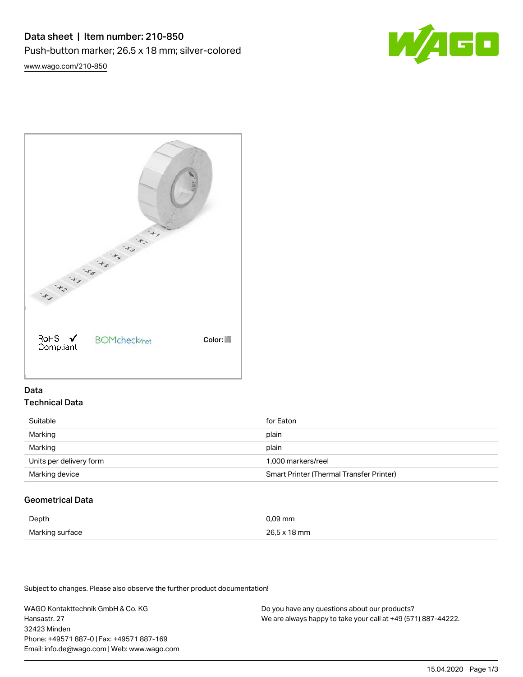

[www.wago.com/210-850](http://www.wago.com/210-850)



## Data Technical Data

| Suitable                | for Eaton                                |
|-------------------------|------------------------------------------|
| Marking                 | plain                                    |
| Marking                 | plain                                    |
| Units per delivery form | 1.000 markers/reel                       |
| Marking device          | Smart Printer (Thermal Transfer Printer) |

# Geometrical Data

| Depth           | 09 mm         |
|-----------------|---------------|
| Marking surface | 265x<br>I8 mm |

Subject to changes. Please also observe the further product documentation!

WAGO Kontakttechnik GmbH & Co. KG Hansastr. 27 32423 Minden Phone: +49571 887-0 | Fax: +49571 887-169 Email: info.de@wago.com | Web: www.wago.com

Do you have any questions about our products? We are always happy to take your call at +49 (571) 887-44222.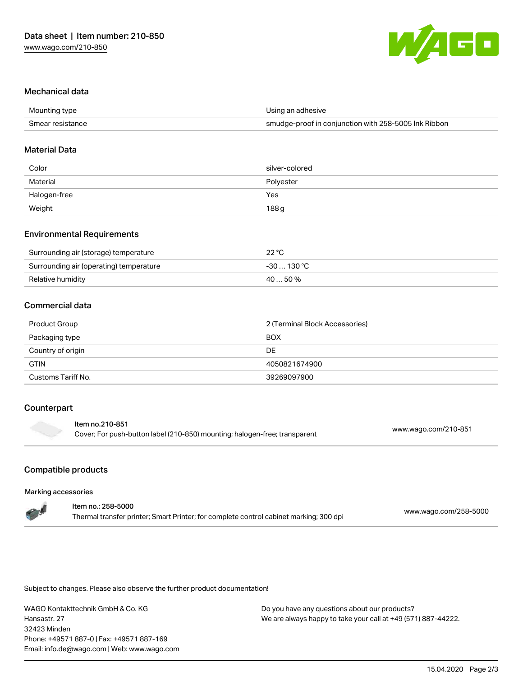

### Mechanical data

| Mounting type    | Using an adhesive                                    |
|------------------|------------------------------------------------------|
| Smear resistance | smudge-proof in conjunction with 258-5005 Ink Ribbon |

#### Material Data

| Color                                                  | silver-colored   |
|--------------------------------------------------------|------------------|
| Material                                               | Polyester        |
| Halogen-free                                           | Yes              |
| Weight<br>the control of the control of the control of | 188 <sub>g</sub> |

### Environmental Requirements

| Surrounding air (storage) temperature   | 22 °C       |
|-----------------------------------------|-------------|
| Surrounding air (operating) temperature | -30  130 °C |
| Relative humidity                       | 40  50 %    |

## Commercial data

| Product Group      | 2 (Terminal Block Accessories) |  |
|--------------------|--------------------------------|--|
| Packaging type     | <b>BOX</b>                     |  |
| Country of origin  | DE                             |  |
| <b>GTIN</b>        | 4050821674900                  |  |
| Customs Tariff No. | 39269097900                    |  |

#### Counterpart

| Item no.210-851   |  |
|-------------------|--|
| Cover; For push-I |  |

Cover; For push-button label (210-850) mounting; halogen-free; transparent [www.wago.com/210-851](http://www.wago.com/210-851)

# Compatible products

#### Marking accessories

| ltem no.: 258-5000                                                                     |                       |
|----------------------------------------------------------------------------------------|-----------------------|
| Thermal transfer printer; Smart Printer; for complete control cabinet marking; 300 dpi | www.wago.com/258-5000 |

Subject to changes. Please also observe the further product documentation!

WAGO Kontakttechnik GmbH & Co. KG Hansastr. 27 32423 Minden Phone: +49571 887-0 | Fax: +49571 887-169 Email: info.de@wago.com | Web: www.wago.com

Do you have any questions about our products? We are always happy to take your call at +49 (571) 887-44222.